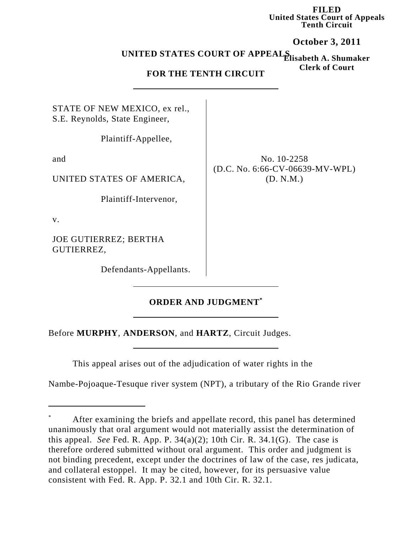**FILED United States Court of Appeals Tenth Circuit**

**October 3, 2011**

**Elisabeth A. Shumaker UNITED STATES COURT OF APPEALS**

## **Clerk of Court FOR THE TENTH CIRCUIT**

STATE OF NEW MEXICO, ex rel., S.E. Reynolds, State Engineer,

Plaintiff-Appellee,

and

UNITED STATES OF AMERICA,

Plaintiff-Intervenor,

v.

JOE GUTIERREZ; BERTHA GUTIERREZ,

Defendants-Appellants.

No. 10-2258 (D.C. No. 6:66-CV-06639-MV-WPL) (D. N.M.)

## **ORDER AND JUDGMENT\***

Before **MURPHY**, **ANDERSON**, and **HARTZ**, Circuit Judges.

This appeal arises out of the adjudication of water rights in the

Nambe-Pojoaque-Tesuque river system (NPT), a tributary of the Rio Grande river

After examining the briefs and appellate record, this panel has determined unanimously that oral argument would not materially assist the determination of this appeal. *See* Fed. R. App. P.  $34(a)(2)$ ; 10th Cir. R.  $34.1(G)$ . The case is therefore ordered submitted without oral argument. This order and judgment is not binding precedent, except under the doctrines of law of the case, res judicata, and collateral estoppel. It may be cited, however, for its persuasive value consistent with Fed. R. App. P. 32.1 and 10th Cir. R. 32.1.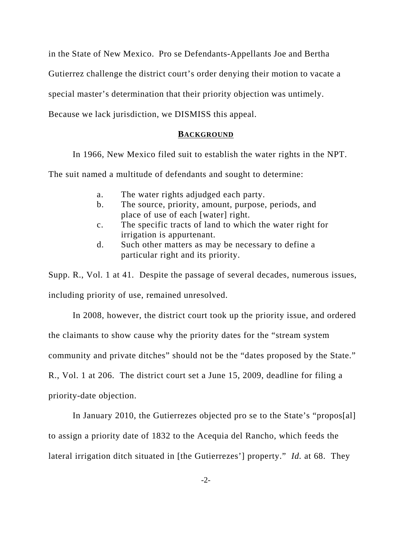in the State of New Mexico. Pro se Defendants-Appellants Joe and Bertha Gutierrez challenge the district court's order denying their motion to vacate a special master's determination that their priority objection was untimely. Because we lack jurisdiction, we DISMISS this appeal.

## **BACKGROUND**

In 1966, New Mexico filed suit to establish the water rights in the NPT.

The suit named a multitude of defendants and sought to determine:

- a. The water rights adjudged each party.
- b. The source, priority, amount, purpose, periods, and place of use of each [water] right.
- c. The specific tracts of land to which the water right for irrigation is appurtenant.
- d. Such other matters as may be necessary to define a particular right and its priority.

Supp. R., Vol. 1 at 41. Despite the passage of several decades, numerous issues, including priority of use, remained unresolved.

In 2008, however, the district court took up the priority issue, and ordered the claimants to show cause why the priority dates for the "stream system community and private ditches" should not be the "dates proposed by the State." R., Vol. 1 at 206. The district court set a June 15, 2009, deadline for filing a priority-date objection.

In January 2010, the Gutierrezes objected pro se to the State's "propos[al] to assign a priority date of 1832 to the Acequia del Rancho, which feeds the lateral irrigation ditch situated in [the Gutierrezes'] property." *Id.* at 68. They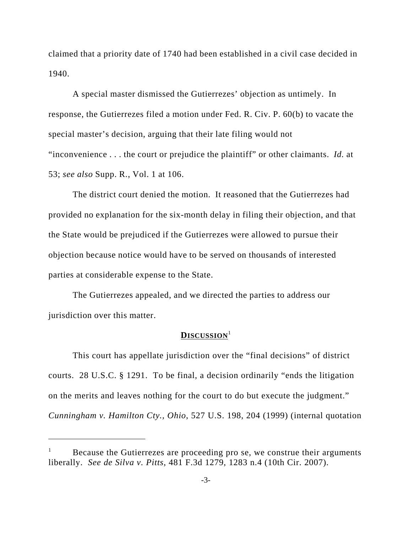claimed that a priority date of 1740 had been established in a civil case decided in 1940.

A special master dismissed the Gutierrezes' objection as untimely. In response, the Gutierrezes filed a motion under Fed. R. Civ. P. 60(b) to vacate the special master's decision, arguing that their late filing would not "inconvenience . . . the court or prejudice the plaintiff" or other claimants. *Id.* at 53; *see also* Supp. R., Vol. 1 at 106.

The district court denied the motion. It reasoned that the Gutierrezes had provided no explanation for the six-month delay in filing their objection, and that the State would be prejudiced if the Gutierrezes were allowed to pursue their objection because notice would have to be served on thousands of interested parties at considerable expense to the State.

The Gutierrezes appealed, and we directed the parties to address our jurisdiction over this matter.

## **DISCUSSION**<sup>1</sup>

This court has appellate jurisdiction over the "final decisions" of district courts. 28 U.S.C. § 1291. To be final, a decision ordinarily "ends the litigation on the merits and leaves nothing for the court to do but execute the judgment." *Cunningham v. Hamilton Cty., Ohio*, 527 U.S. 198, 204 (1999) (internal quotation

Because the Gutierrezes are proceeding pro se, we construe their arguments liberally. *See de Silva v. Pitts*, 481 F.3d 1279, 1283 n.4 (10th Cir. 2007).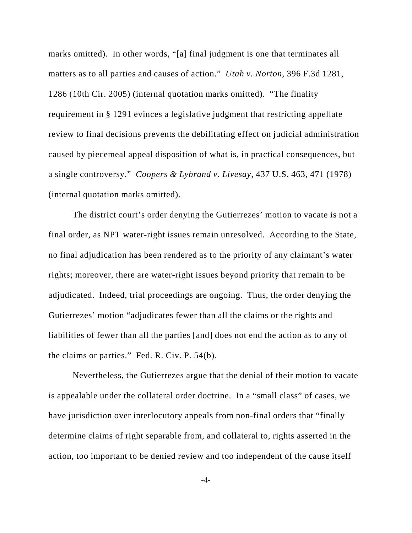marks omitted). In other words, "[a] final judgment is one that terminates all matters as to all parties and causes of action." *Utah v. Norton*, 396 F.3d 1281, 1286 (10th Cir. 2005) (internal quotation marks omitted). "The finality requirement in § 1291 evinces a legislative judgment that restricting appellate review to final decisions prevents the debilitating effect on judicial administration caused by piecemeal appeal disposition of what is, in practical consequences, but a single controversy." *Coopers & Lybrand v. Livesay*, 437 U.S. 463, 471 (1978) (internal quotation marks omitted).

The district court's order denying the Gutierrezes' motion to vacate is not a final order, as NPT water-right issues remain unresolved. According to the State, no final adjudication has been rendered as to the priority of any claimant's water rights; moreover, there are water-right issues beyond priority that remain to be adjudicated. Indeed, trial proceedings are ongoing. Thus, the order denying the Gutierrezes' motion "adjudicates fewer than all the claims or the rights and liabilities of fewer than all the parties [and] does not end the action as to any of the claims or parties." Fed. R. Civ. P. 54(b).

Nevertheless, the Gutierrezes argue that the denial of their motion to vacate is appealable under the collateral order doctrine. In a "small class" of cases, we have jurisdiction over interlocutory appeals from non-final orders that "finally determine claims of right separable from, and collateral to, rights asserted in the action, too important to be denied review and too independent of the cause itself

-4-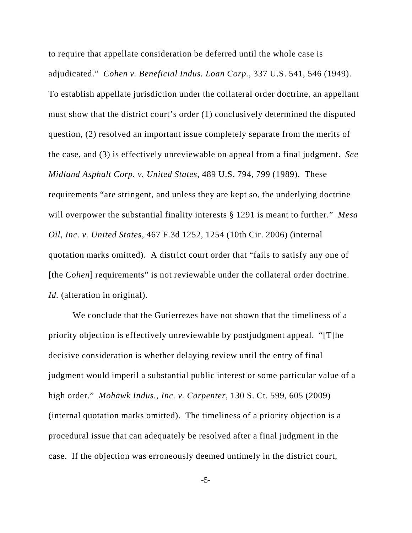to require that appellate consideration be deferred until the whole case is adjudicated." *Cohen v. Beneficial Indus. Loan Corp.*, 337 U.S. 541, 546 (1949). To establish appellate jurisdiction under the collateral order doctrine, an appellant must show that the district court's order (1) conclusively determined the disputed question, (2) resolved an important issue completely separate from the merits of the case, and (3) is effectively unreviewable on appeal from a final judgment. *See Midland Asphalt Corp. v. United States*, 489 U.S. 794, 799 (1989). These requirements "are stringent, and unless they are kept so, the underlying doctrine will overpower the substantial finality interests § 1291 is meant to further." *Mesa Oil, Inc. v. United States*, 467 F.3d 1252, 1254 (10th Cir. 2006) (internal quotation marks omitted). A district court order that "fails to satisfy any one of [the *Cohen*] requirements" is not reviewable under the collateral order doctrine. *Id.* (alteration in original).

We conclude that the Gutierrezes have not shown that the timeliness of a priority objection is effectively unreviewable by postjudgment appeal. "[T]he decisive consideration is whether delaying review until the entry of final judgment would imperil a substantial public interest or some particular value of a high order." *Mohawk Indus., Inc. v. Carpenter*, 130 S. Ct. 599, 605 (2009) (internal quotation marks omitted). The timeliness of a priority objection is a procedural issue that can adequately be resolved after a final judgment in the case. If the objection was erroneously deemed untimely in the district court,

-5-